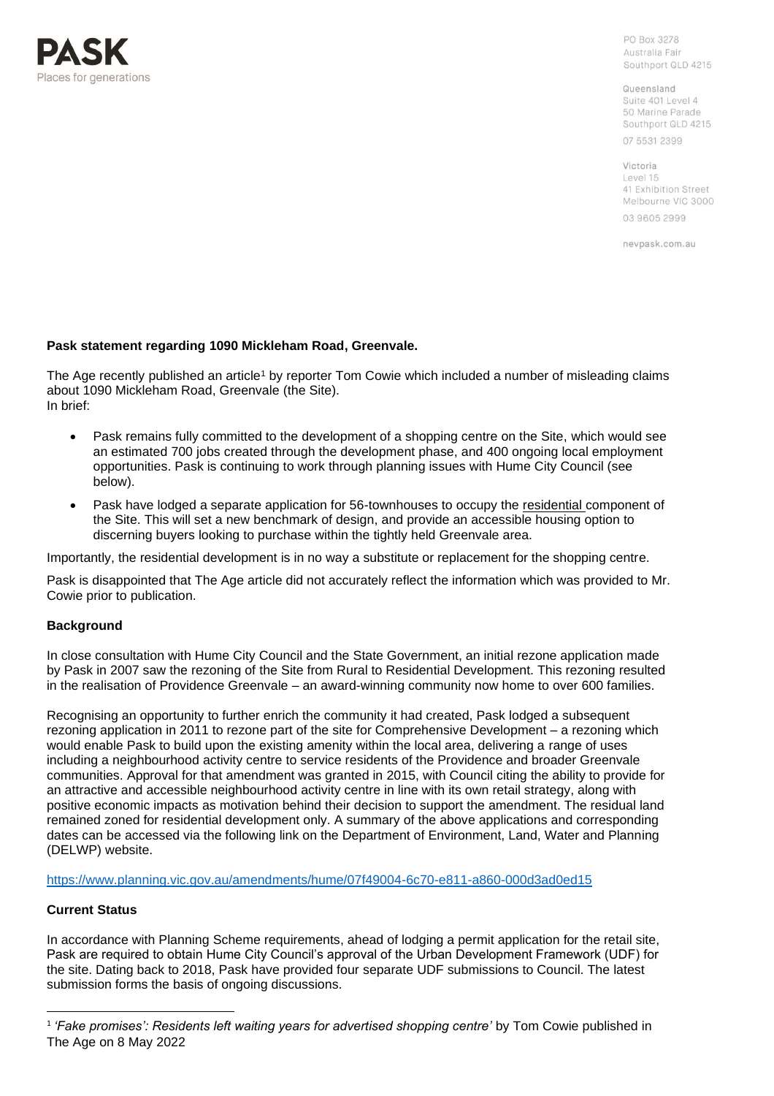

PO Box 3278 Australia Fair Southport QLD 4215

Queensland Suite 401 Level 4 50 Marine Parade Southport QLD 4215

07 5531 2399

Victoria Level 15 41 Exhibition Street Melbourne VIC 3000 03 9605 2999

nevpask.com.au

## **Pask statement regarding 1090 Mickleham Road, Greenvale.**

The Age recently published an article<sup>1</sup> by reporter Tom Cowie which included a number of misleading claims about 1090 Mickleham Road, Greenvale (the Site). In brief:

- Pask remains fully committed to the development of a shopping centre on the Site, which would see an estimated 700 jobs created through the development phase, and 400 ongoing local employment opportunities. Pask is continuing to work through planning issues with Hume City Council (see below).
- Pask have lodged a separate application for 56-townhouses to occupy the residential component of the Site. This will set a new benchmark of design, and provide an accessible housing option to discerning buyers looking to purchase within the tightly held Greenvale area.

Importantly, the residential development is in no way a substitute or replacement for the shopping centre.

Pask is disappointed that The Age article did not accurately reflect the information which was provided to Mr. Cowie prior to publication.

## **Background**

In close consultation with Hume City Council and the State Government, an initial rezone application made by Pask in 2007 saw the rezoning of the Site from Rural to Residential Development. This rezoning resulted in the realisation of Providence Greenvale – an award-winning community now home to over 600 families.

Recognising an opportunity to further enrich the community it had created, Pask lodged a subsequent rezoning application in 2011 to rezone part of the site for Comprehensive Development – a rezoning which would enable Pask to build upon the existing amenity within the local area, delivering a range of uses including a neighbourhood activity centre to service residents of the Providence and broader Greenvale communities. Approval for that amendment was granted in 2015, with Council citing the ability to provide for an attractive and accessible neighbourhood activity centre in line with its own retail strategy, along with positive economic impacts as motivation behind their decision to support the amendment. The residual land remained zoned for residential development only. A summary of the above applications and corresponding dates can be accessed via the following link on the Department of Environment, Land, Water and Planning (DELWP) website.

<https://www.planning.vic.gov.au/amendments/hume/07f49004-6c70-e811-a860-000d3ad0ed15>

## **Current Status**

In accordance with Planning Scheme requirements, ahead of lodging a permit application for the retail site, Pask are required to obtain Hume City Council's approval of the Urban Development Framework (UDF) for the site. Dating back to 2018, Pask have provided four separate UDF submissions to Council. The latest submission forms the basis of ongoing discussions.

<sup>1</sup> *'Fake promises': Residents left waiting years for advertised shopping centre'* by Tom Cowie published in The Age on 8 May 2022